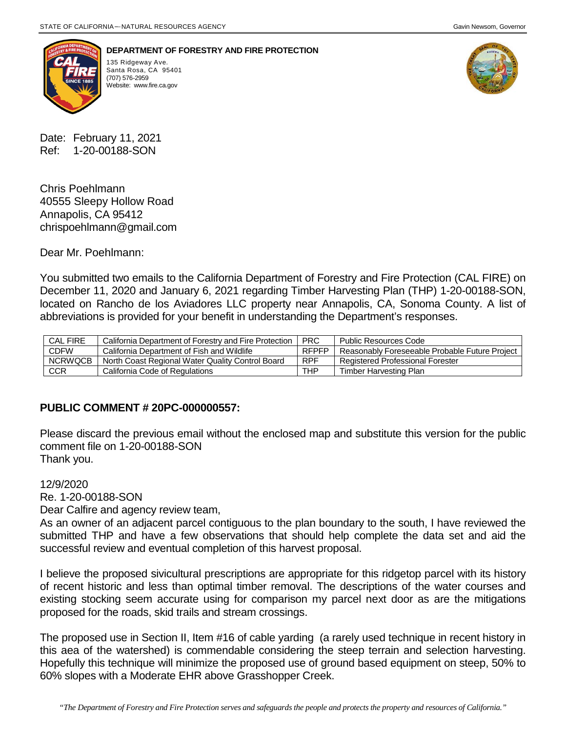



**DEPARTMENT OF FORESTRY AND FIRE PROTECTION**

135 Ridgeway Ave. Santa Rosa, CA 95401<br>(707) 576-2959 Website: [www.fire.ca.gov](http://www.fire.ca.gov/)



Date: February 11, 2021 Ref: 1-20-00188-SON

Chris Poehlmann 40555 Sleepy Hollow Road Annapolis, CA 95412 chrispoehlmann@gmail.com

Dear Mr. Poehlmann:

You submitted two emails to the California Department of Forestry and Fire Protection (CAL FIRE) on December 11, 2020 and January 6, 2021 regarding Timber Harvesting Plan (THP) 1-20-00188-SON, located on Rancho de los Aviadores LLC property near Annapolis, CA, Sonoma County. A list of abbreviations is provided for your benefit in understanding the Department's responses.

| <b>CAL FIRE</b> | California Department of Forestry and Fire Protection | <b>PRC</b>   | Public Resources Code                          |
|-----------------|-------------------------------------------------------|--------------|------------------------------------------------|
| <b>CDFW</b>     | California Department of Fish and Wildlife            | <b>RFPFP</b> | Reasonably Foreseeable Probable Future Project |
| <b>NCRWQCB</b>  | North Coast Regional Water Quality Control Board      | <b>RPF</b>   | <b>Registered Professional Forester</b>        |
| CCR             | California Code of Regulations                        | THP          | Timber Harvesting Plan                         |

## **PUBLIC COMMENT # 20PC-000000557:**

Please discard the previous email without the enclosed map and substitute this version for the public comment file on 1-20-00188-SON Thank you.

12/9/2020

Re. 1-20-00188-SON

Dear Calfire and agency review team,

As an owner of an adjacent parcel contiguous to the plan boundary to the south, I have reviewed the submitted THP and have a few observations that should help complete the data set and aid the successful review and eventual completion of this harvest proposal.

I believe the proposed sivicultural prescriptions are appropriate for this ridgetop parcel with its history of recent historic and less than optimal timber removal. The descriptions of the water courses and existing stocking seem accurate using for comparison my parcel next door as are the mitigations proposed for the roads, skid trails and stream crossings.

The proposed use in Section II, Item #16 of cable yarding (a rarely used technique in recent history in this aea of the watershed) is commendable considering the steep terrain and selection harvesting. Hopefully this technique will minimize the proposed use of ground based equipment on steep, 50% to 60% slopes with a Moderate EHR above Grasshopper Creek.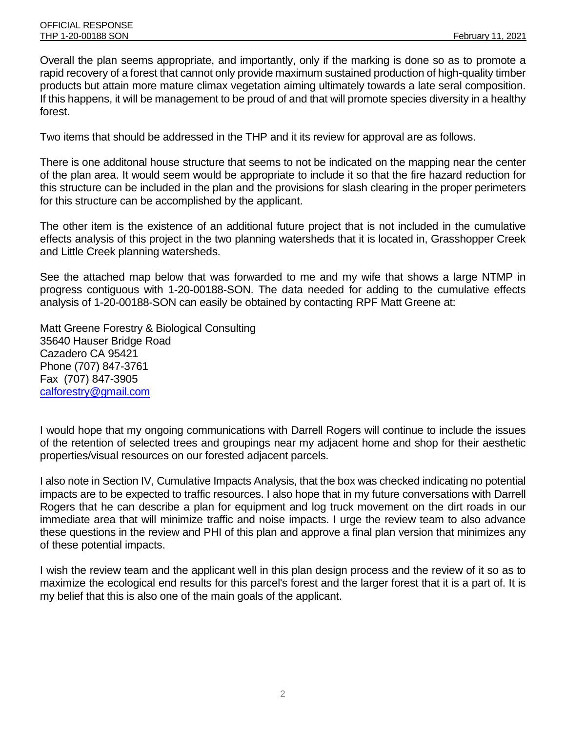Overall the plan seems appropriate, and importantly, only if the marking is done so as to promote a rapid recovery of a forest that cannot only provide maximum sustained production of high-quality timber products but attain more mature climax vegetation aiming ultimately towards a late seral composition. If this happens, it will be management to be proud of and that will promote species diversity in a healthy forest.

Two items that should be addressed in the THP and it its review for approval are as follows.

There is one additonal house structure that seems to not be indicated on the mapping near the center of the plan area. It would seem would be appropriate to include it so that the fire hazard reduction for this structure can be included in the plan and the provisions for slash clearing in the proper perimeters for this structure can be accomplished by the applicant.

The other item is the existence of an additional future project that is not included in the cumulative effects analysis of this project in the two planning watersheds that it is located in, Grasshopper Creek and Little Creek planning watersheds.

See the attached map below that was forwarded to me and my wife that shows a large NTMP in progress contiguous with 1-20-00188-SON. The data needed for adding to the cumulative effects analysis of 1-20-00188-SON can easily be obtained by contacting RPF Matt Greene at:

Matt Greene Forestry & Biological Consulting 35640 Hauser Bridge Road Cazadero CA 95421 Phone (707) 847-3761 Fax (707) 847-3905 [calforestry@gmail.com](mailto:calforestry@gmail.com)

I would hope that my ongoing communications with Darrell Rogers will continue to include the issues of the retention of selected trees and groupings near my adjacent home and shop for their aesthetic properties/visual resources on our forested adjacent parcels.

I also note in Section IV, Cumulative Impacts Analysis, that the box was checked indicating no potential impacts are to be expected to traffic resources. I also hope that in my future conversations with Darrell Rogers that he can describe a plan for equipment and log truck movement on the dirt roads in our immediate area that will minimize traffic and noise impacts. I urge the review team to also advance these questions in the review and PHI of this plan and approve a final plan version that minimizes any of these potential impacts.

I wish the review team and the applicant well in this plan design process and the review of it so as to maximize the ecological end results for this parcel's forest and the larger forest that it is a part of. It is my belief that this is also one of the main goals of the applicant.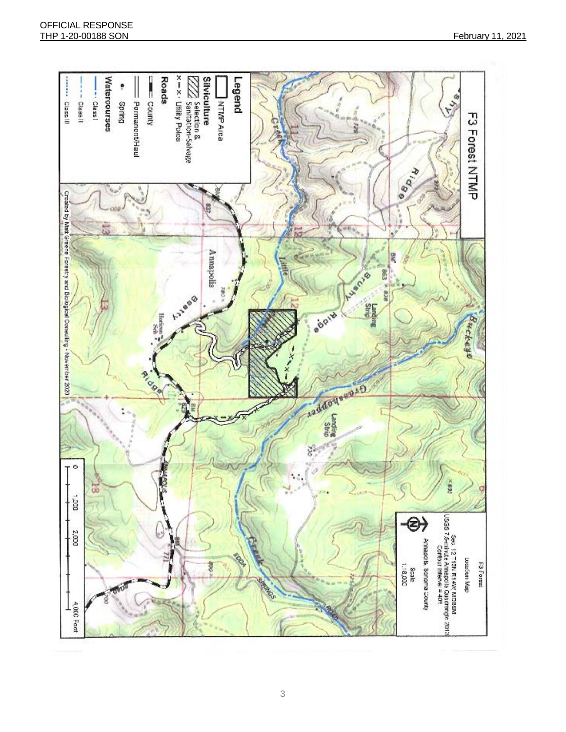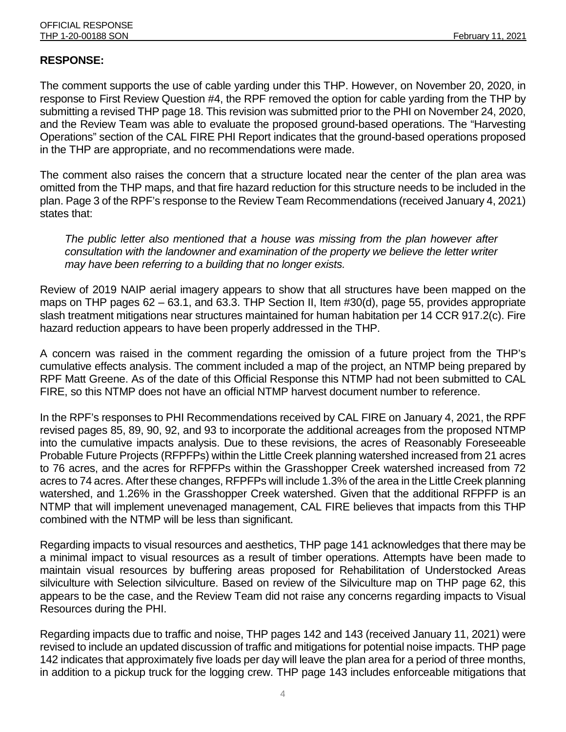## **RESPONSE:**

The comment supports the use of cable yarding under this THP. However, on November 20, 2020, in response to First Review Question #4, the RPF removed the option for cable yarding from the THP by submitting a revised THP page 18. This revision was submitted prior to the PHI on November 24, 2020, and the Review Team was able to evaluate the proposed ground-based operations. The "Harvesting Operations" section of the CAL FIRE PHI Report indicates that the ground-based operations proposed in the THP are appropriate, and no recommendations were made.

The comment also raises the concern that a structure located near the center of the plan area was omitted from the THP maps, and that fire hazard reduction for this structure needs to be included in the plan. Page 3 of the RPF's response to the Review Team Recommendations (received January 4, 2021) states that:

*The public letter also mentioned that a house was missing from the plan however after consultation with the landowner and examination of the property we believe the letter writer may have been referring to a building that no longer exists.*

Review of 2019 NAIP aerial imagery appears to show that all structures have been mapped on the maps on THP pages 62 – 63.1, and 63.3. THP Section II, Item #30(d), page 55, provides appropriate slash treatment mitigations near structures maintained for human habitation per 14 CCR 917.2(c). Fire hazard reduction appears to have been properly addressed in the THP.

A concern was raised in the comment regarding the omission of a future project from the THP's cumulative effects analysis. The comment included a map of the project, an NTMP being prepared by RPF Matt Greene. As of the date of this Official Response this NTMP had not been submitted to CAL FIRE, so this NTMP does not have an official NTMP harvest document number to reference.

In the RPF's responses to PHI Recommendations received by CAL FIRE on January 4, 2021, the RPF revised pages 85, 89, 90, 92, and 93 to incorporate the additional acreages from the proposed NTMP into the cumulative impacts analysis. Due to these revisions, the acres of Reasonably Foreseeable Probable Future Projects (RFPFPs) within the Little Creek planning watershed increased from 21 acres to 76 acres, and the acres for RFPFPs within the Grasshopper Creek watershed increased from 72 acres to 74 acres. After these changes, RFPFPs will include 1.3% of the area in the Little Creek planning watershed, and 1.26% in the Grasshopper Creek watershed. Given that the additional RFPFP is an NTMP that will implement unevenaged management, CAL FIRE believes that impacts from this THP combined with the NTMP will be less than significant.

Regarding impacts to visual resources and aesthetics, THP page 141 acknowledges that there may be a minimal impact to visual resources as a result of timber operations. Attempts have been made to maintain visual resources by buffering areas proposed for Rehabilitation of Understocked Areas silviculture with Selection silviculture. Based on review of the Silviculture map on THP page 62, this appears to be the case, and the Review Team did not raise any concerns regarding impacts to Visual Resources during the PHI.

Regarding impacts due to traffic and noise, THP pages 142 and 143 (received January 11, 2021) were revised to include an updated discussion of traffic and mitigations for potential noise impacts. THP page 142 indicates that approximately five loads per day will leave the plan area for a period of three months, in addition to a pickup truck for the logging crew. THP page 143 includes enforceable mitigations that